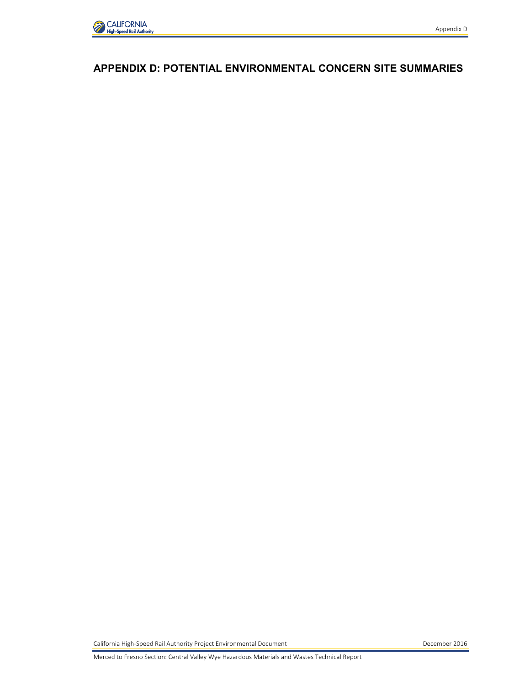

## **APPENDIX D: POTENTIAL ENVIRONMENTAL CONCERN SITE SUMMARIES**

California High-Speed Rail Authority Project Environmental Document **December 2016** December 2016

Merced to Fresno Section: Central Valley Wye Hazardous Materials and Wastes Technical Report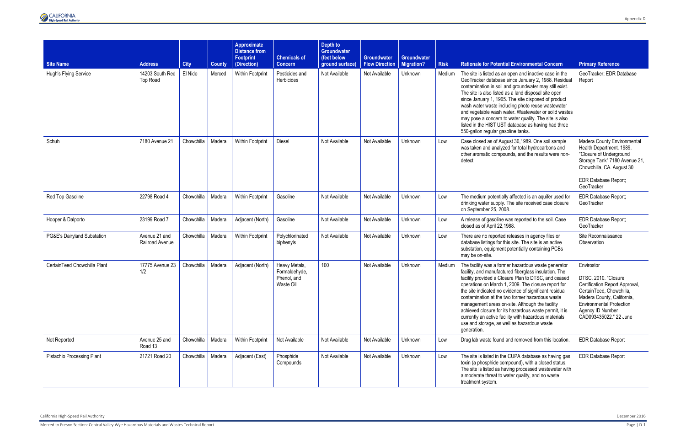

| <b>Site Name</b>                  | <b>Address</b>                     | <b>City</b> | <b>County</b> | Approximate<br><b>Distance from</b><br><b>Footprint</b><br>(Direction) | <b>Chemicals of</b><br><b>Concern</b>                      | Depth to<br><b>Groundwater</b><br>(feet below<br>ground surface) | <b>Groundwater</b><br><b>Flow Direction</b> | Groundwater<br>Migration? | <b>Risk</b> | <b>Rationale for Potential Environmental Concern</b>                                                                                                                                                                                                                                                                                                                                                                                                                                                                                                                         | <b>Primary Reference</b>                                                                                                                                                                                        |
|-----------------------------------|------------------------------------|-------------|---------------|------------------------------------------------------------------------|------------------------------------------------------------|------------------------------------------------------------------|---------------------------------------------|---------------------------|-------------|------------------------------------------------------------------------------------------------------------------------------------------------------------------------------------------------------------------------------------------------------------------------------------------------------------------------------------------------------------------------------------------------------------------------------------------------------------------------------------------------------------------------------------------------------------------------------|-----------------------------------------------------------------------------------------------------------------------------------------------------------------------------------------------------------------|
| Hugh's Flying Service             | 14203 South Red<br><b>Top Road</b> | El Nido     | Merced        | Within Footprint                                                       | Pesticides and<br>Herbicides                               | Not Available                                                    | Not Available                               | Unknown                   | Medium      | The site is listed as an open and inactive case in the<br>GeoTracker database since January 2, 1988. Residual<br>contamination in soil and groundwater may still exist.<br>The site is also listed as a land disposal site open<br>since January 1, 1965. The site disposed of product<br>wash water waste including photo reuse wastewater<br>and vegetable wash water. Wastewater or solid wastes<br>may pose a concern to water quality. The site is also<br>listed in the HIST UST database as having had three<br>550-gallon regular gasoline tanks.                    | GeoTracker; EDR Database<br>Report                                                                                                                                                                              |
| Schuh                             | 7180 Avenue 21                     | Chowchilla  | Madera        | Within Footprint                                                       | Diesel                                                     | Not Available                                                    | Not Available                               | Unknown                   | Low         | Case closed as of August 30,1989. One soil sample<br>was taken and analyzed for total hydrocarbons and<br>other aromatic compounds, and the results were non-<br>detect.                                                                                                                                                                                                                                                                                                                                                                                                     | Madera County Environmental<br>Health Department. 1989.<br>"Closure of Underground<br>Storage Tank" 7180 Avenue 21,<br>Chowchilla, CA. August 30<br><b>EDR Database Report;</b><br>GeoTracker                   |
| Red Top Gasoline                  | 22798 Road 4                       | Chowchilla  | Madera        | Within Footprint                                                       | Gasoline                                                   | Not Available                                                    | Not Available                               | Unknown                   | Low         | The medium potentially affected is an aquifer used for<br>drinking water supply. The site received case closure<br>on September 25, 2008.                                                                                                                                                                                                                                                                                                                                                                                                                                    | <b>EDR Database Report;</b><br>GeoTracker                                                                                                                                                                       |
| Hooper & Dalporto                 | 23199 Road 7                       | Chowchilla  | Madera        | Adjacent (North)                                                       | Gasoline                                                   | Not Available                                                    | Not Available                               | Unknown                   | Low         | A release of gasoline was reported to the soil. Case<br>closed as of April 22,1988.                                                                                                                                                                                                                                                                                                                                                                                                                                                                                          | EDR Database Report;<br>GeoTracker                                                                                                                                                                              |
| PG&E's Dairyland Substation       | Avenue 21 and<br>Railroad Avenue   | Chowchilla  | Madera        | Within Footprint                                                       | Polychlorinated<br>biphenyls                               | Not Available                                                    | Not Available                               | Unknown                   | Low         | There are no reported releases in agency files or<br>database listings for this site. The site is an active<br>substation, equipment potentially containing PCBs<br>may be on-site.                                                                                                                                                                                                                                                                                                                                                                                          | Site Reconnaissance<br>Observation                                                                                                                                                                              |
| CertainTeed Chowchilla Plant      | 17775 Avenue 23<br>1/2             | Chowchilla  | Madera        | Adjacent (North)                                                       | Heavy Metals,<br>Formaldehyde,<br>Phenol, and<br>Waste Oil | 100                                                              | Not Available                               | Unknown                   | Medium      | The facility was a former hazardous waste generator<br>facility, and manufactured fiberglass insulation. The<br>facility provided a Closure Plan to DTSC, and ceased<br>operations on March 1, 2009. The closure report for<br>the site indicated no evidence of significant residual<br>contamination at the two former hazardous waste<br>management areas on-site. Although the facility<br>achieved closure for its hazardous waste permit, it is<br>currently an active facility with hazardous materials<br>use and storage, as well as hazardous waste<br>generation. | Envirostor<br>DTSC. 2010. "Closure<br>Certification Report Approval,<br>CertainTeed, Chowchilla,<br>Madera County, California,<br><b>Environmental Protection</b><br>Agency ID Number<br>CAD093435022." 22 June |
| Not Reported                      | Avenue 25 and<br>Road 13           | Chowchilla  | Madera        | Within Footprint                                                       | Not Available                                              | Not Available                                                    | Not Available                               | Unknown                   | Low         | Drug lab waste found and removed from this location.                                                                                                                                                                                                                                                                                                                                                                                                                                                                                                                         | <b>EDR Database Report</b>                                                                                                                                                                                      |
| <b>Pistachio Processing Plant</b> | 21721 Road 20                      | Chowchilla  | Madera        | Adjacent (East)                                                        | Phosphide<br>Compounds                                     | Not Available                                                    | Not Available                               | Unknown                   | Low         | The site is listed in the CUPA database as having gas<br>toxin (a phosphide compound), with a closed status.<br>The site is listed as having processed wastewater with<br>a moderate threat to water quality, and no waste<br>treatment system.                                                                                                                                                                                                                                                                                                                              | <b>EDR Database Report</b>                                                                                                                                                                                      |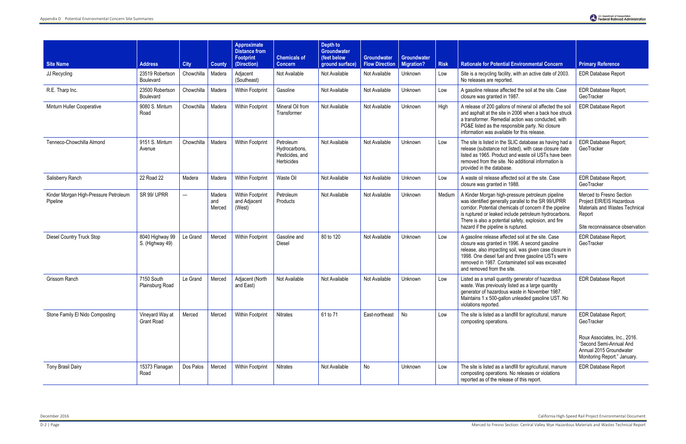December 2016 California High-Speed Rail Project Environmental Document

| <b>Site Name</b>                                  | <b>Address</b>                       | <b>City</b>              | <b>County</b>           | <b>Approximate</b><br><b>Distance from</b><br><b>Footprint</b><br>(Direction) | <b>Chemicals of</b><br><b>Concern</b>                       | Depth to<br><b>Groundwater</b><br>(feet below<br>ground surface) | <b>Groundwater</b><br><b>Flow Direction</b> | Groundwater<br><b>Migration?</b> | <b>Risk</b> | <b>Rationale for Potential Environmental Concern</b>                                                                                                                                                                                                                                                                         | <b>Primary Reference</b>                                                                                                             |
|---------------------------------------------------|--------------------------------------|--------------------------|-------------------------|-------------------------------------------------------------------------------|-------------------------------------------------------------|------------------------------------------------------------------|---------------------------------------------|----------------------------------|-------------|------------------------------------------------------------------------------------------------------------------------------------------------------------------------------------------------------------------------------------------------------------------------------------------------------------------------------|--------------------------------------------------------------------------------------------------------------------------------------|
| JJ Recycling                                      | 23519 Robertson<br>Boulevard         | Chowchilla               | Madera                  | Adjacent<br>(Southeast)                                                       | Not Available                                               | Not Available                                                    | Not Available                               | Unknown                          | Low         | Site is a recycling facility, with an active date of 2003.<br>No releases are reported.                                                                                                                                                                                                                                      | <b>EDR Database Report</b>                                                                                                           |
| R.E. Tharp Inc.                                   | 23500 Robertson<br>Boulevard         | Chowchilla               | Madera                  | Within Footprint                                                              | Gasoline                                                    | Not Available                                                    | Not Available                               | Unknown                          | Low         | A gasoline release affected the soil at the site. Case<br>closure was granted in 1987.                                                                                                                                                                                                                                       | EDR Database Report;<br>GeoTracker                                                                                                   |
| Minturn Huller Cooperative                        | 9080 S. Minturn<br>Road              | Chowchilla               | Madera                  | Within Footprint                                                              | Mineral Oil from<br>Transformer                             | Not Available                                                    | Not Available                               | Unknown                          | High        | A release of 200 gallons of mineral oil affected the soil<br>and asphalt at the site in 2006 when a back hoe struck<br>a transformer. Remedial action was conducted, with<br>PG&E listed as the responsible party. No closure<br>information was available for this release.                                                 | <b>EDR Database Report</b>                                                                                                           |
| Tenneco-Chowchilla Almond                         | 9151 S. Minturn<br>Avenue            | Chowchilla               | Madera                  | Within Footprint                                                              | Petroleum<br>Hydrocarbons,<br>Pesticides, and<br>Herbicides | Not Available                                                    | Not Available                               | Unknown                          | Low         | The site is listed in the SLIC database as having had a<br>release (substance not listed), with case closure date<br>listed as 1965. Product and waste oil USTs have been<br>removed from the site. No additional information is<br>provided in the database.                                                                | <b>EDR Database Report;</b><br>GeoTracker                                                                                            |
| Salisberry Ranch                                  | 22 Road 22                           | Madera                   | Madera                  | Within Footprint                                                              | Waste Oil                                                   | Not Available                                                    | Not Available                               | Unknown                          | Low         | A waste oil release affected soil at the site. Case<br>closure was granted in 1988.                                                                                                                                                                                                                                          | <b>EDR Database Report;</b><br>GeoTracker                                                                                            |
| Kinder Morgan High-Pressure Petroleum<br>Pipeline | SR 99/ UPRR                          | $\overline{\phantom{0}}$ | Madera<br>and<br>Merced | Within Footprint<br>and Adjacent<br>(West)                                    | Petroleum<br>Products                                       | Not Available                                                    | Not Available                               | Unknown                          | Medium      | A Kinder Morgan high-pressure petroleum pipeline<br>was identified generally parallel to the SR 99/UPRR<br>corridor. Potential chemicals of concern if the pipeline<br>is ruptured or leaked include petroleum hydrocarbons.<br>There is also a potential safety, explosion, and fire<br>hazard if the pipeline is ruptured. | Merced to Fresno Section<br>Project EIR/EIS Hazardous<br>Materials and Wastes Technical<br>Report<br>Site reconnaissance observation |
| <b>Diesel Country Truck Stop</b>                  | 8040 Highway 99<br>S. (Highway 49)   | Le Grand                 | Merced                  | <b>Within Footprint</b>                                                       | Gasoline and<br>Diesel                                      | 80 to 120                                                        | Not Available                               | Unknown                          | Low         | A gasoline release affected soil at the site. Case<br>closure was granted in 1996. A second gasoline<br>release, also impacting soil, was given case closure in<br>1998. One diesel fuel and three gasoline USTs were<br>removed in 1987. Contaminated soil was excavated<br>and removed from the site.                      | EDR Database Report;<br>GeoTracker                                                                                                   |
| Grissom Ranch                                     | 7150 South<br>Plainsburg Road        | Le Grand                 | Merced                  | Adjacent (North<br>and East)                                                  | Not Available                                               | Not Available                                                    | Not Available                               | Unknown                          | Low         | Listed as a small quantity generator of hazardous<br>waste. Was previously listed as a large quantity<br>generator of hazardous waste in November 1987.<br>Maintains 1 x 500-gallon unleaded gasoline UST. No<br>violations reported.                                                                                        | <b>EDR Database Report</b>                                                                                                           |
| Stone Family El Nido Composting                   | Vineyard Way at<br><b>Grant Road</b> | Merced                   | Merced                  | Within Footprint                                                              | Nitrates                                                    | 61 to 71                                                         | East-northeast                              | No                               | Low         | The site is listed as a landfill for agricultural, manure<br>composting operations.                                                                                                                                                                                                                                          | EDR Database Report;<br>GeoTracker<br>Roux Associates, Inc., 2016.<br>"Second Semi-Annual And<br>Annual 2015 Groundwater             |
| <b>Tony Brasil Dairy</b>                          | 15373 Flanagan<br>Road               | Dos Palos                | Merced                  | Within Footprint                                                              | <b>Nitrates</b>                                             | Not Available                                                    | No                                          | Unknown                          | Low         | The site is listed as a landfill for agricultural, manure<br>composting operations. No releases or violations<br>reported as of the release of this report.                                                                                                                                                                  | Monitoring Report." January.<br><b>EDR Database Report</b>                                                                           |